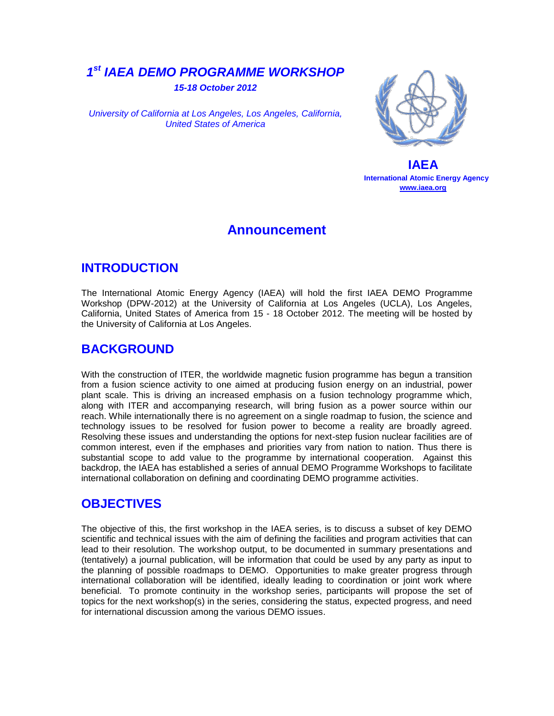# *1 st IAEA DEMO PROGRAMME WORKSHOP*

*15-18 October 2012*

*University of California at Los Angeles, Los Angeles, California, United States of America*



 **IAEA International Atomic Energy Agency [www.iaea.org](http://www.iaea.org/)**

### **Announcement**

# **INTRODUCTION**

The International Atomic Energy Agency (IAEA) will hold the first IAEA DEMO Programme Workshop (DPW-2012) at the University of California at Los Angeles (UCLA), Los Angeles, California, United States of America from 15 - 18 October 2012. The meeting will be hosted by the University of California at Los Angeles.

# **BACKGROUND**

With the construction of ITER, the worldwide magnetic fusion programme has begun a transition from a fusion science activity to one aimed at producing fusion energy on an industrial, power plant scale. This is driving an increased emphasis on a fusion technology programme which, along with ITER and accompanying research, will bring fusion as a power source within our reach. While internationally there is no agreement on a single roadmap to fusion, the science and technology issues to be resolved for fusion power to become a reality are broadly agreed. Resolving these issues and understanding the options for next-step fusion nuclear facilities are of common interest, even if the emphases and priorities vary from nation to nation. Thus there is substantial scope to add value to the programme by international cooperation. Against this backdrop, the IAEA has established a series of annual DEMO Programme Workshops to facilitate international collaboration on defining and coordinating DEMO programme activities.

# **OBJECTIVES**

The objective of this, the first workshop in the IAEA series, is to discuss a subset of key DEMO scientific and technical issues with the aim of defining the facilities and program activities that can lead to their resolution. The workshop output, to be documented in summary presentations and (tentatively) a journal publication, will be information that could be used by any party as input to the planning of possible roadmaps to DEMO. Opportunities to make greater progress through international collaboration will be identified, ideally leading to coordination or joint work where beneficial. To promote continuity in the workshop series, participants will propose the set of topics for the next workshop(s) in the series, considering the status, expected progress, and need for international discussion among the various DEMO issues.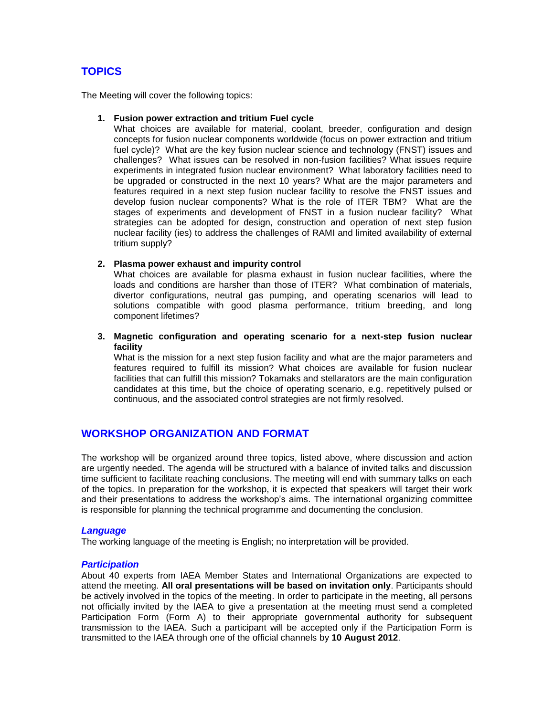### **TOPICS**

The Meeting will cover the following topics:

#### **1. Fusion power extraction and tritium Fuel cycle**

What choices are available for material, coolant, breeder, configuration and design concepts for fusion nuclear components worldwide (focus on power extraction and tritium fuel cycle)? What are the key fusion nuclear science and technology (FNST) issues and challenges? What issues can be resolved in non-fusion facilities? What issues require experiments in integrated fusion nuclear environment? What laboratory facilities need to be upgraded or constructed in the next 10 years? What are the major parameters and features required in a next step fusion nuclear facility to resolve the FNST issues and develop fusion nuclear components? What is the role of ITER TBM? What are the stages of experiments and development of FNST in a fusion nuclear facility? What strategies can be adopted for design, construction and operation of next step fusion nuclear facility (ies) to address the challenges of RAMI and limited availability of external tritium supply?

#### **2. Plasma power exhaust and impurity control**

What choices are available for plasma exhaust in fusion nuclear facilities, where the loads and conditions are harsher than those of ITER? What combination of materials, divertor configurations, neutral gas pumping, and operating scenarios will lead to solutions compatible with good plasma performance, tritium breeding, and long component lifetimes?

#### **3. Magnetic configuration and operating scenario for a next-step fusion nuclear facility**

What is the mission for a next step fusion facility and what are the major parameters and features required to fulfill its mission? What choices are available for fusion nuclear facilities that can fulfill this mission? Tokamaks and stellarators are the main configuration candidates at this time, but the choice of operating scenario, e.g. repetitively pulsed or continuous, and the associated control strategies are not firmly resolved.

### **WORKSHOP ORGANIZATION AND FORMAT**

The workshop will be organized around three topics, listed above, where discussion and action are urgently needed. The agenda will be structured with a balance of invited talks and discussion time sufficient to facilitate reaching conclusions. The meeting will end with summary talks on each of the topics. In preparation for the workshop, it is expected that speakers will target their work and their presentations to address the workshop's aims. The international organizing committee is responsible for planning the technical programme and documenting the conclusion.

#### *Language*

The working language of the meeting is English; no interpretation will be provided.

#### *Participation*

About 40 experts from IAEA Member States and International Organizations are expected to attend the meeting. **All oral presentations will be based on invitation only**. Participants should be actively involved in the topics of the meeting. In order to participate in the meeting, all persons not officially invited by the IAEA to give a presentation at the meeting must send a completed Participation Form (Form A) to their appropriate governmental authority for subsequent transmission to the IAEA. Such a participant will be accepted only if the Participation Form is transmitted to the IAEA through one of the official channels by **10 August 2012**.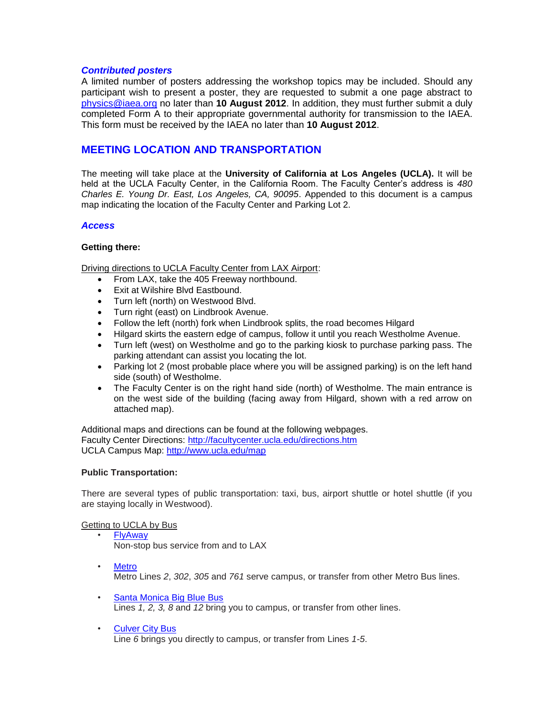#### *Contributed posters*

A limited number of posters addressing the workshop topics may be included. Should any participant wish to present a poster, they are requested to submit a one page abstract to [physics@iaea.org](mailto:physics@iaea.org) no later than **10 August 2012**. In addition, they must further submit a duly completed Form A to their appropriate governmental authority for transmission to the IAEA. This form must be received by the IAEA no later than **10 August 2012**.

### **MEETING LOCATION AND TRANSPORTATION**

The meeting will take place at the **University of California at Los Angeles (UCLA).** It will be held at the UCLA Faculty Center, in the California Room. The Faculty Center's address is *480 Charles E. Young Dr. East, Los Angeles, CA, 90095*. Appended to this document is a campus map indicating the location of the Faculty Center and Parking Lot 2.

#### *Access*

#### **Getting there:**

Driving directions to UCLA Faculty Center from LAX Airport:

- From LAX, take the 405 Freeway northbound.
- Exit at Wilshire Blvd Eastbound.
- Turn left (north) on Westwood Blvd.
- Turn right (east) on Lindbrook Avenue.
- Follow the left (north) fork when Lindbrook splits, the road becomes Hilgard
- Hilgard skirts the eastern edge of campus, follow it until you reach Westholme Avenue.
- Turn left (west) on Westholme and go to the parking kiosk to purchase parking pass. The parking attendant can assist you locating the lot.
- Parking lot 2 (most probable place where you will be assigned parking) is on the left hand side (south) of Westholme.
- The Faculty Center is on the right hand side (north) of Westholme. The main entrance is on the west side of the building (facing away from Hilgard, shown with a red arrow on attached map).

Additional maps and directions can be found at the following webpages. Faculty Center Directions:<http://facultycenter.ucla.edu/directions.htm> UCLA Campus Map:<http://www.ucla.edu/map>

#### **Public Transportation:**

There are several types of public transportation: taxi, bus, airport shuttle or hotel shuttle (if you are staying locally in Westwood).

#### Getting to UCLA by Bus

- [FlyAway](http://www.lawa.org/welcome_lax.aspx?id=4698) Non-stop bus service from and to LAX
- [Metro](http://www.metro.net/) Metro Lines *2*, *302*, *305* and *761* serve campus, or transfer from other Metro Bus lines.
- [Santa Monica Big Blue Bus](http://www.bigbluebus.com/home/index.asp) Lines *1, 2, 3, 8* and *12* bring you to campus, or transfer from other lines.
- [Culver City Bus](http://www.culvercity.org/Government/Transportation/Bus.aspx) Line *6* brings you directly to campus, or transfer from Lines *1-5*.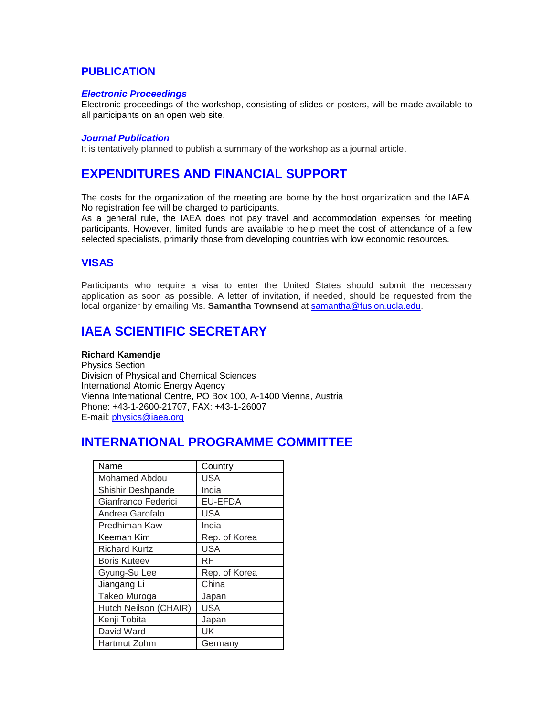### **PUBLICATION**

#### *Electronic Proceedings*

Electronic proceedings of the workshop, consisting of slides or posters, will be made available to all participants on an open web site.

#### *Journal Publication*

It is tentatively planned to publish a summary of the workshop as a journal article.

## **EXPENDITURES AND FINANCIAL SUPPORT**

The costs for the organization of the meeting are borne by the host organization and the IAEA. No registration fee will be charged to participants.

As a general rule, the IAEA does not pay travel and accommodation expenses for meeting participants. However, limited funds are available to help meet the cost of attendance of a few selected specialists, primarily those from developing countries with low economic resources.

### **VISAS**

Participants who require a visa to enter the United States should submit the necessary application as soon as possible. A letter of invitation, if needed, should be requested from the local organizer by emailing Ms. **Samantha Townsend** at [samantha@fusion.ucla.edu.](mailto:samantha@fusion.ucla.edu)

## **IAEA SCIENTIFIC SECRETARY**

#### **Richard Kamendje**

Physics Section Division of Physical and Chemical Sciences International Atomic Energy Agency Vienna International Centre, PO Box 100, A-1400 Vienna, Austria Phone: +43-1-2600-21707, FAX: +43-1-26007 E-mail: [physics@iaea.org](mailto:physics@iaea.org)

# **INTERNATIONAL PROGRAMME COMMITTEE**

| Name                  | Country        |
|-----------------------|----------------|
| Mohamed Abdou         | <b>USA</b>     |
| Shishir Deshpande     | India          |
| Gianfranco Federici   | <b>EU-EFDA</b> |
| Andrea Garofalo       | <b>USA</b>     |
| Predhiman Kaw         | India          |
| Keeman Kim            | Rep. of Korea  |
| <b>Richard Kurtz</b>  | <b>USA</b>     |
| <b>Boris Kuteev</b>   | RF             |
| Gyung-Su Lee          | Rep. of Korea  |
| Jiangang Li           | China          |
| Takeo Muroga          | Japan          |
| Hutch Neilson (CHAIR) | <b>USA</b>     |
| Kenji Tobita          | Japan          |
| David Ward            | UK             |
| Hartmut Zohm          | Germany        |